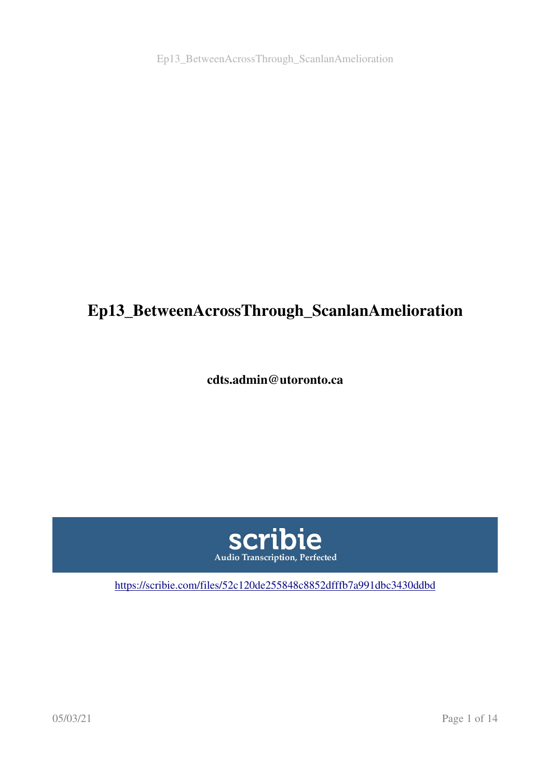Ep13\_BetweenAcrossThrough\_ScanlanAmelioration

# Ep13\_BetweenAcrossThrough\_ScanlanAmelioration

cdts.admin@utoronto.ca



<https://scribie.com/files/52c120de255848c8852dfffb7a991dbc3430ddbd>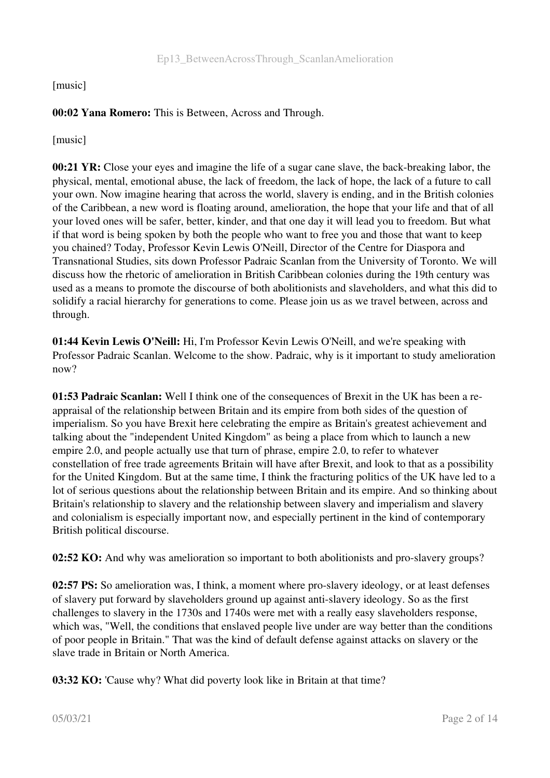#### [music]

### 00:02 Yana Romero: This is Between, Across and Through.

[music]

00:21  $\overline{Y}R$ : Close your eves and imagine the life of a sugar cane slave, the back-breaking labor, the physical, mental, emotional abuse, the lack of freedom, the lack of hope, the lack of a future to call your own. Now imagine hearing that across the world, slavery is ending, and in the British colonies of the Caribbean, a new word is floating around, amelioration, the hope that your life and that of all your loved ones will be safer, better, kinder, and that one day it will lead you to freedom. But what if that word is being spoken by both the people who want to free you and those that want to keep you chained? Today, Professor Kevin Lewis O'Neill, Director of the Centre for Diaspora and Transnational Studies, sits down Professor Padraic Scanlan from the University of Toronto. We will discuss how the rhetoric of amelioration in British Caribbean colonies during the 19th century was used as a means to promote the discourse of both abolitionists and slaveholders, and what this did to solidify a racial hierarchy for generations to come. Please join us as we travel between, across and through.

01:44 Kevin Lewis O'Neill: Hi, I'm Professor Kevin Lewis O'Neill, and we're speaking with Professor Padraic Scanlan. Welcome to the show. Padraic, why is it important to study amelioration now?

01:53 Padraic Scanlan: Well I think one of the consequences of Brexit in the UK has been a reappraisal of the relationship between Britain and its empire from both sides of the question of imperialism. So you have Brexit here celebrating the empire as Britain's greatest achievement and talking about the "independent United Kingdom" as being a place from which to launch a new empire 2.0, and people actually use that turn of phrase, empire 2.0, to refer to whatever constellation of free trade agreements Britain will have after Brexit, and look to that as a possibility for the United Kingdom. But at the same time, I think the fracturing politics of the UK have led to a lot of serious questions about the relationship between Britain and its empire. And so thinking about Britain's relationship to slavery and the relationship between slavery and imperialism and slavery and colonialism is especially important now, and especially pertinent in the kind of contemporary British political discourse.

02:52 KO: And why was amelioration so important to both abolitionists and pro-slavery groups?

02:57 PS: So amelioration was, I think, a moment where pro-slavery ideology, or at least defenses of slavery put forward by slaveholders ground up against antislavery ideology. So as the first challenges to slavery in the 1730s and 1740s were met with a really easy slaveholders response, which was, "Well, the conditions that enslaved people live under are way better than the conditions of poor people in Britain." That was the kind of default defense against attacks on slavery or the slave trade in Britain or North America.

03:32 KO: 'Cause why? What did poverty look like in Britain at that time?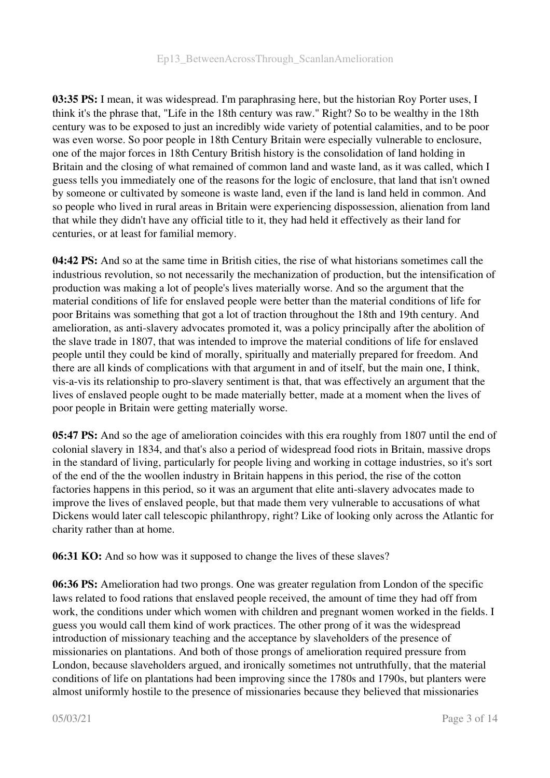#### Ep13\_BetweenAcrossThrough\_ScanlanAmelioration

03:35 PS: I mean, it was widespread. I'm paraphrasing here, but the historian Roy Porter uses, I think it's the phrase that, "Life in the 18th century was raw." Right? So to be wealthy in the 18th century was to be exposed to just an incredibly wide variety of potential calamities, and to be poor was even worse. So poor people in 18th Century Britain were especially vulnerable to enclosure, one of the major forces in 18th Century British history is the consolidation of land holding in Britain and the closing of what remained of common land and waste land, as it was called, which I guess tells you immediately one of the reasons for the logic of enclosure, that land that isn't owned by someone or cultivated by someone is waste land, even if the land is land held in common. And so people who lived in rural areas in Britain were experiencing dispossession, alienation from land that while they didn't have any official title to it, they had held it effectively as their land for centuries, or at least for familial memory.

04:42 PS: And so at the same time in British cities, the rise of what historians sometimes call the industrious revolution, so not necessarily the mechanization of production, but the intensification of production was making a lot of people's lives materially worse. And so the argument that the material conditions of life for enslaved people were better than the material conditions of life for poor Britains was something that got a lot of traction throughout the 18th and 19th century. And amelioration, as anti-slavery advocates promoted it, was a policy principally after the abolition of the slave trade in 1807, that was intended to improve the material conditions of life for enslaved people until they could be kind of morally, spiritually and materially prepared for freedom. And there are all kinds of complications with that argument in and of itself, but the main one, I think, vis-a-vis its relationship to pro-slavery sentiment is that, that was effectively an argument that the lives of enslaved people ought to be made materially better, made at a moment when the lives of poor people in Britain were getting materially worse.

**05:47 PS:** And so the age of amelioration coincides with this era roughly from 1807 until the end of colonial slavery in 1834, and that's also a period of widespread food riots in Britain, massive drops in the standard of living, particularly for people living and working in cottage industries, so it's sort of the end of the the woollen industry in Britain happens in this period, the rise of the cotton factories happens in this period, so it was an argument that elite anti-slavery advocates made to improve the lives of enslaved people, but that made them very vulnerable to accusations of what Dickens would later call telescopic philanthropy, right? Like of looking only across the Atlantic for charity rather than at home.

06:31 KO: And so how was it supposed to change the lives of these slaves?

06:36 PS: Amelioration had two prongs. One was greater regulation from London of the specific laws related to food rations that enslaved people received, the amount of time they had off from work, the conditions under which women with children and pregnant women worked in the fields. I guess you would call them kind of work practices. The other prong of it was the widespread introduction of missionary teaching and the acceptance by slaveholders of the presence of missionaries on plantations. And both of those prongs of amelioration required pressure from London, because slaveholders argued, and ironically sometimes not untruthfully, that the material conditions of life on plantations had been improving since the 1780s and 1790s, but planters were almost uniformly hostile to the presence of missionaries because they believed that missionaries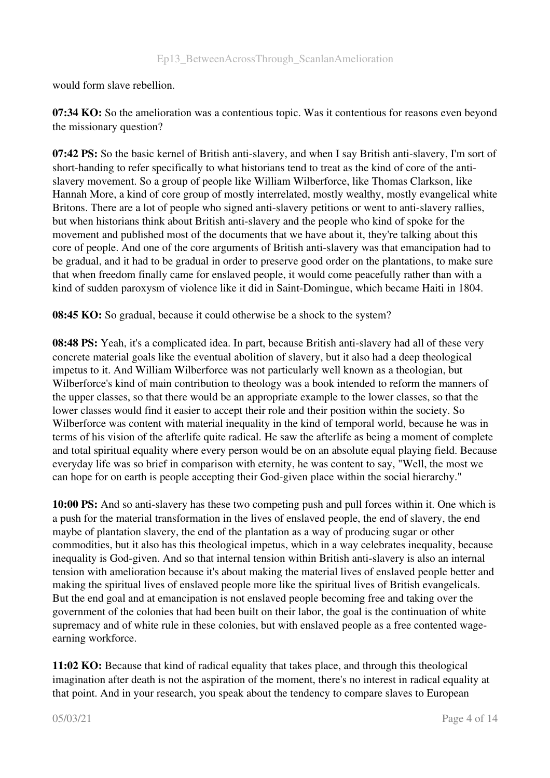would form slave rebellion.

07:34 KO: So the amelioration was a contentious topic. Was it contentious for reasons even beyond the missionary question?

07:42 PS: So the basic kernel of British anti-slavery, and when I say British anti-slavery, I'm sort of short-handing to refer specifically to what historians tend to treat as the kind of core of the antislavery movement. So a group of people like William Wilberforce, like Thomas Clarkson, like Hannah More, a kind of core group of mostly interrelated, mostly wealthy, mostly evangelical white Britons. There are a lot of people who signed anti-slavery petitions or went to anti-slavery rallies, but when historians think about British anti-slavery and the people who kind of spoke for the movement and published most of the documents that we have about it, they're talking about this core of people. And one of the core arguments of British anti-slavery was that emancipation had to be gradual, and it had to be gradual in order to preserve good order on the plantations, to make sure that when freedom finally came for enslaved people, it would come peacefully rather than with a kind of sudden paroxysm of violence like it did in Saint-Domingue, which became Haiti in 1804.

08:45 KO: So gradual, because it could otherwise be a shock to the system?

08:48 PS: Yeah, it's a complicated idea. In part, because British anti-slavery had all of these very concrete material goals like the eventual abolition of slavery, but it also had a deep theological impetus to it. And William Wilberforce was not particularly well known as a theologian, but Wilberforce's kind of main contribution to theology was a book intended to reform the manners of the upper classes, so that there would be an appropriate example to the lower classes, so that the lower classes would find it easier to accept their role and their position within the society. So Wilberforce was content with material inequality in the kind of temporal world, because he was in terms of his vision of the afterlife quite radical. He saw the afterlife as being a moment of complete and total spiritual equality where every person would be on an absolute equal playing field. Because everyday life was so brief in comparison with eternity, he was content to say, "Well, the most we can hope for on earth is people accepting their God-given place within the social hierarchy."

10:00 PS: And so anti-slavery has these two competing push and pull forces within it. One which is a push for the material transformation in the lives of enslaved people, the end of slavery, the end maybe of plantation slavery, the end of the plantation as a way of producing sugar or other commodities, but it also has this theological impetus, which in a way celebrates inequality, because inequality is God-given. And so that internal tension within British anti-slavery is also an internal tension with amelioration because it's about making the material lives of enslaved people better and making the spiritual lives of enslaved people more like the spiritual lives of British evangelicals. But the end goal and at emancipation is not enslaved people becoming free and taking over the government of the colonies that had been built on their labor, the goal is the continuation of white supremacy and of white rule in these colonies, but with enslaved people as a free contented wageearning workforce.

11:02 KO: Because that kind of radical equality that takes place, and through this theological imagination after death is not the aspiration of the moment, there's no interest in radical equality at that point. And in your research, you speak about the tendency to compare slaves to European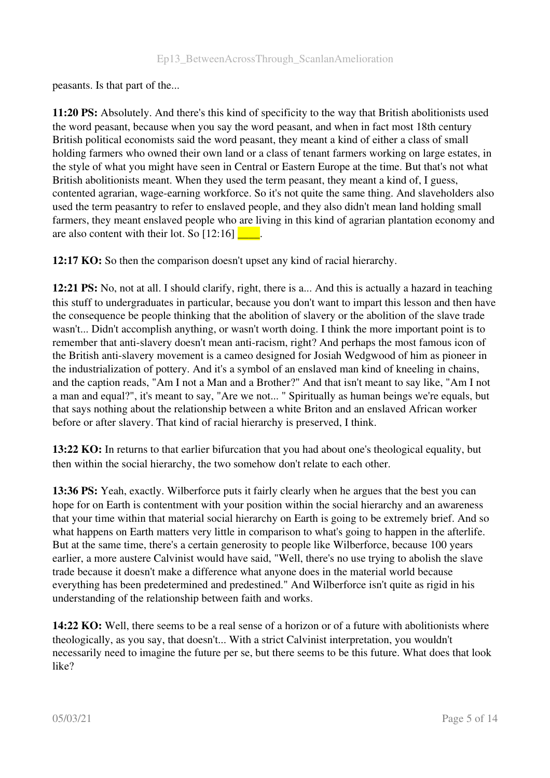peasants. Is that part of the...

11:20 PS: Absolutely. And there's this kind of specificity to the way that British abolitionists used the word peasant, because when you say the word peasant, and when in fact most 18th century British political economists said the word peasant, they meant a kind of either a class of small holding farmers who owned their own land or a class of tenant farmers working on large estates, in the style of what you might have seen in Central or Eastern Europe at the time. But that's not what British abolitionists meant. When they used the term peasant, they meant a kind of, I guess, contented agrarian, wage-earning workforce. So it's not quite the same thing. And slaveholders also used the term peasantry to refer to enslaved people, and they also didn't mean land holding small farmers, they meant enslaved people who are living in this kind of agrarian plantation economy and are also content with their lot. So  $[12:16]$   $\Box$ .

12:17 KO: So then the comparison doesn't upset any kind of racial hierarchy.

12:21 PS: No, not at all. I should clarify, right, there is a... And this is actually a hazard in teaching this stuff to undergraduates in particular, because you don't want to impart this lesson and then have the consequence be people thinking that the abolition of slavery or the abolition of the slave trade wasn't... Didn't accomplish anything, or wasn't worth doing. I think the more important point is to remember that anti-slavery doesn't mean anti-racism, right? And perhaps the most famous icon of the British anti-slavery movement is a cameo designed for Josiah Wedgwood of him as pioneer in the industrialization of pottery. And it's a symbol of an enslaved man kind of kneeling in chains, and the caption reads, "Am I not a Man and a Brother?" And that isn't meant to say like, "Am I not a man and equal?", it's meant to say, "Are we not... " Spiritually as human beings we're equals, but that says nothing about the relationship between a white Briton and an enslaved African worker before or after slavery. That kind of racial hierarchy is preserved, I think.

13:22 KO: In returns to that earlier bifurcation that you had about one's theological equality, but then within the social hierarchy, the two somehow don't relate to each other.

13:36 PS: Yeah, exactly. Wilberforce puts it fairly clearly when he argues that the best you can hope for on Earth is contentment with your position within the social hierarchy and an awareness that your time within that material social hierarchy on Earth is going to be extremely brief. And so what happens on Earth matters very little in comparison to what's going to happen in the afterlife. But at the same time, there's a certain generosity to people like Wilberforce, because 100 years earlier, a more austere Calvinist would have said, "Well, there's no use trying to abolish the slave trade because it doesn't make a difference what anyone does in the material world because everything has been predetermined and predestined." And Wilberforce isn't quite as rigid in his understanding of the relationship between faith and works.

**14:22 KO:** Well, there seems to be a real sense of a horizon or of a future with abolitionists where theologically, as you say, that doesn't... With a strict Calvinist interpretation, you wouldn't necessarily need to imagine the future per se, but there seems to be this future. What does that look like?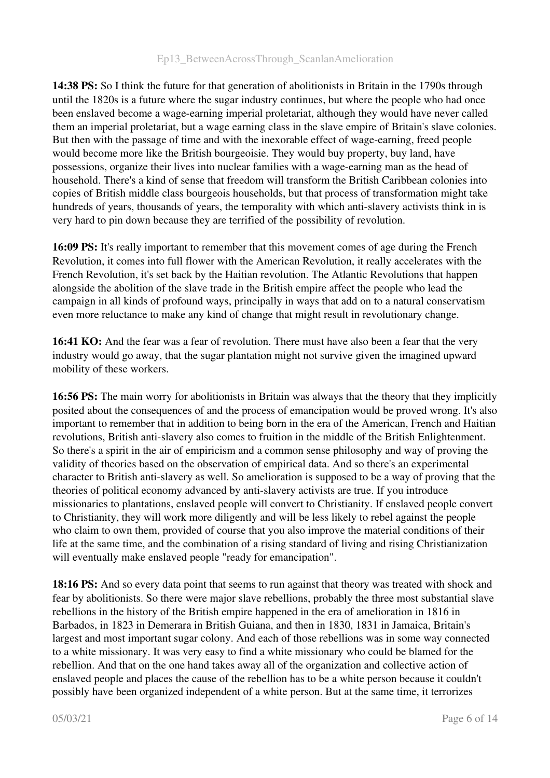14:38 PS: So I think the future for that generation of abolitionists in Britain in the 1790s through until the 1820s is a future where the sugar industry continues, but where the people who had once been enslaved become a wage-earning imperial proletariat, although they would have never called them an imperial proletariat, but a wage earning class in the slave empire of Britain's slave colonies. But then with the passage of time and with the inexorable effect of wage-earning, freed people would become more like the British bourgeoisie. They would buy property, buy land, have possessions, organize their lives into nuclear families with a wage-earning man as the head of household. There's a kind of sense that freedom will transform the British Caribbean colonies into copies of British middle class bourgeois households, but that process of transformation might take hundreds of years, thousands of years, the temporality with which anti-slavery activists think in is very hard to pin down because they are terrified of the possibility of revolution.

16:09 PS: It's really important to remember that this movement comes of age during the French Revolution, it comes into full flower with the American Revolution, it really accelerates with the French Revolution, it's set back by the Haitian revolution. The Atlantic Revolutions that happen alongside the abolition of the slave trade in the British empire affect the people who lead the campaign in all kinds of profound ways, principally in ways that add on to a natural conservatism even more reluctance to make any kind of change that might result in revolutionary change.

16:41 KO: And the fear was a fear of revolution. There must have also been a fear that the very industry would go away, that the sugar plantation might not survive given the imagined upward mobility of these workers.

16:56 PS: The main worry for abolitionists in Britain was always that the theory that they implicitly posited about the consequences of and the process of emancipation would be proved wrong. It's also important to remember that in addition to being born in the era of the American, French and Haitian revolutions, British anti-slavery also comes to fruition in the middle of the British Enlightenment. So there's a spirit in the air of empiricism and a common sense philosophy and way of proving the validity of theories based on the observation of empirical data. And so there's an experimental character to British anti-slavery as well. So amelioration is supposed to be a way of proving that the theories of political economy advanced by anti-slavery activists are true. If you introduce missionaries to plantations, enslaved people will convert to Christianity. If enslaved people convert to Christianity, they will work more diligently and will be less likely to rebel against the people who claim to own them, provided of course that you also improve the material conditions of their life at the same time, and the combination of a rising standard of living and rising Christianization will eventually make enslaved people "ready for emancipation".

18:16 PS: And so every data point that seems to run against that theory was treated with shock and fear by abolitionists. So there were major slave rebellions, probably the three most substantial slave rebellions in the history of the British empire happened in the era of amelioration in 1816 in Barbados, in 1823 in Demerara in British Guiana, and then in 1830, 1831 in Jamaica, Britain's largest and most important sugar colony. And each of those rebellions was in some way connected to a white missionary. It was very easy to find a white missionary who could be blamed for the rebellion. And that on the one hand takes away all of the organization and collective action of enslaved people and places the cause of the rebellion has to be a white person because it couldn't possibly have been organized independent of a white person. But at the same time, it terrorizes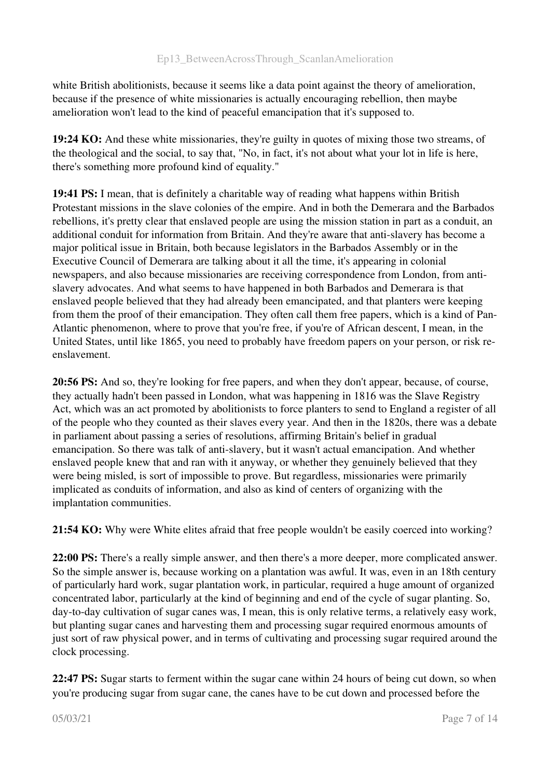white British abolitionists, because it seems like a data point against the theory of amelioration, because if the presence of white missionaries is actually encouraging rebellion, then maybe amelioration won't lead to the kind of peaceful emancipation that it's supposed to.

19:24 KO: And these white missionaries, they're guilty in quotes of mixing those two streams, of the theological and the social, to say that, "No, in fact, it's not about what your lot in life is here, there's something more profound kind of equality."

19:41 PS: I mean, that is definitely a charitable way of reading what happens within British Protestant missions in the slave colonies of the empire. And in both the Demerara and the Barbados rebellions, it's pretty clear that enslaved people are using the mission station in part as a conduit, an additional conduit for information from Britain. And they're aware that anti-slavery has become a major political issue in Britain, both because legislators in the Barbados Assembly or in the Executive Council of Demerara are talking about it all the time, it's appearing in colonial newspapers, and also because missionaries are receiving correspondence from London, from antislavery advocates. And what seems to have happened in both Barbados and Demerara is that enslaved people believed that they had already been emancipated, and that planters were keeping from them the proof of their emancipation. They often call them free papers, which is a kind of Pan-Atlantic phenomenon, where to prove that you're free, if you're of African descent, I mean, in the United States, until like 1865, you need to probably have freedom papers on your person, or risk reenslavement.

20:56 PS: And so, they're looking for free papers, and when they don't appear, because, of course, they actually hadn't been passed in London, what was happening in 1816 was the Slave Registry Act, which was an act promoted by abolitionists to force planters to send to England a register of all of the people who they counted as their slaves every year. And then in the 1820s, there was a debate in parliament about passing a series of resolutions, affirming Britain's belief in gradual emancipation. So there was talk of anti-slavery, but it wasn't actual emancipation. And whether enslaved people knew that and ran with it anyway, or whether they genuinely believed that they were being misled, is sort of impossible to prove. But regardless, missionaries were primarily implicated as conduits of information, and also as kind of centers of organizing with the implantation communities.

21:54 KO: Why were White elites afraid that free people wouldn't be easily coerced into working?

22:00 PS: There's a really simple answer, and then there's a more deeper, more complicated answer. So the simple answer is, because working on a plantation was awful. It was, even in an 18th century of particularly hard work, sugar plantation work, in particular, required a huge amount of organized concentrated labor, particularly at the kind of beginning and end of the cycle of sugar planting. So, day-to-day cultivation of sugar canes was, I mean, this is only relative terms, a relatively easy work, but planting sugar canes and harvesting them and processing sugar required enormous amounts of just sort of raw physical power, and in terms of cultivating and processing sugar required around the clock processing.

22:47 PS: Sugar starts to ferment within the sugar cane within 24 hours of being cut down, so when you're producing sugar from sugar cane, the canes have to be cut down and processed before the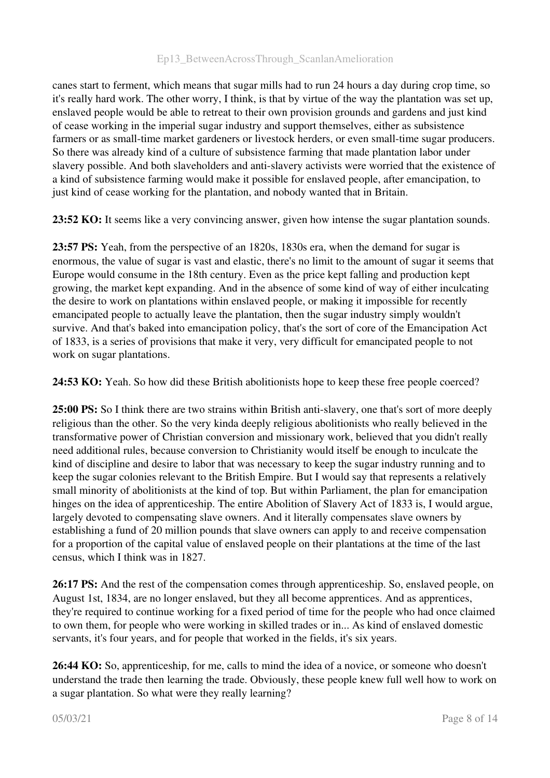canes start to ferment, which means that sugar mills had to run 24 hours a day during crop time, so it's really hard work. The other worry, I think, is that by virtue of the way the plantation was set up, enslaved people would be able to retreat to their own provision grounds and gardens and just kind of cease working in the imperial sugar industry and support themselves, either as subsistence farmers or as small-time market gardeners or livestock herders, or even small-time sugar producers. So there was already kind of a culture of subsistence farming that made plantation labor under slavery possible. And both slaveholders and anti-slavery activists were worried that the existence of a kind of subsistence farming would make it possible for enslaved people, after emancipation, to just kind of cease working for the plantation, and nobody wanted that in Britain.

23:52 KO: It seems like a very convincing answer, given how intense the sugar plantation sounds.

23:57 PS: Yeah, from the perspective of an 1820s, 1830s era, when the demand for sugar is enormous, the value of sugar is vast and elastic, there's no limit to the amount of sugar it seems that Europe would consume in the 18th century. Even as the price kept falling and production kept growing, the market kept expanding. And in the absence of some kind of way of either inculcating the desire to work on plantations within enslaved people, or making it impossible for recently emancipated people to actually leave the plantation, then the sugar industry simply wouldn't survive. And that's baked into emancipation policy, that's the sort of core of the Emancipation Act of 1833, is a series of provisions that make it very, very difficult for emancipated people to not work on sugar plantations.

24:53 KO: Yeah. So how did these British abolitionists hope to keep these free people coerced?

25:00 PS: So I think there are two strains within British anti-slavery, one that's sort of more deeply religious than the other. So the very kinda deeply religious abolitionists who really believed in the transformative power of Christian conversion and missionary work, believed that you didn't really need additional rules, because conversion to Christianity would itself be enough to inculcate the kind of discipline and desire to labor that was necessary to keep the sugar industry running and to keep the sugar colonies relevant to the British Empire. But I would say that represents a relatively small minority of abolitionists at the kind of top. But within Parliament, the plan for emancipation hinges on the idea of apprenticeship. The entire Abolition of Slavery Act of 1833 is, I would argue, largely devoted to compensating slave owners. And it literally compensates slave owners by establishing a fund of 20 million pounds that slave owners can apply to and receive compensation for a proportion of the capital value of enslaved people on their plantations at the time of the last census, which I think was in 1827.

26:17 PS: And the rest of the compensation comes through apprenticeship. So, enslaved people, on August 1st, 1834, are no longer enslaved, but they all become apprentices. And as apprentices, they're required to continue working for a fixed period of time for the people who had once claimed to own them, for people who were working in skilled trades or in... As kind of enslaved domestic servants, it's four years, and for people that worked in the fields, it's six years.

26:44 KO: So, apprenticeship, for me, calls to mind the idea of a novice, or someone who doesn't understand the trade then learning the trade. Obviously, these people knew full well how to work on a sugar plantation. So what were they really learning?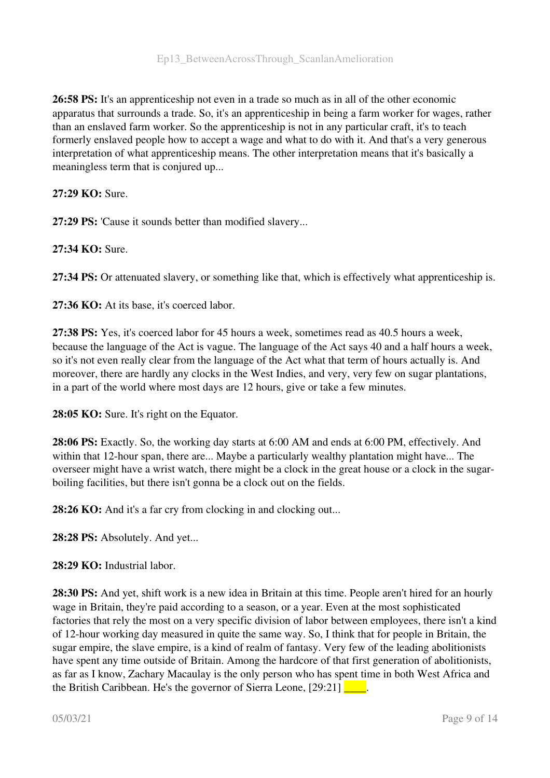26:58 PS: It's an apprenticeship not even in a trade so much as in all of the other economic apparatus that surrounds a trade. So, it's an apprenticeship in being a farm worker for wages, rather than an enslaved farm worker. So the apprenticeship is not in any particular craft, it's to teach formerly enslaved people how to accept a wage and what to do with it. And that's a very generous interpretation of what apprenticeship means. The other interpretation means that it's basically a meaningless term that is conjured up...

#### 27:29 KO: Sure.

27:29 PS: 'Cause it sounds better than modified slavery...

27:34 KO: Sure.

27:34 PS: Or attenuated slavery, or something like that, which is effectively what apprenticeship is.

27:36 KO: At its base, it's coerced labor.

27:38 PS: Yes, it's coerced labor for 45 hours a week, sometimes read as 40.5 hours a week, because the language of the Act is vague. The language of the Act says 40 and a half hours a week, so it's not even really clear from the language of the Act what that term of hours actually is. And moreover, there are hardly any clocks in the West Indies, and very, very few on sugar plantations, in a part of the world where most days are 12 hours, give or take a few minutes.

28:05 KO: Sure. It's right on the Equator.

28:06 PS: Exactly. So, the working day starts at 6:00 AM and ends at 6:00 PM, effectively. And within that 12-hour span, there are... Maybe a particularly wealthy plantation might have... The overseer might have a wrist watch, there might be a clock in the great house or a clock in the sugarboiling facilities, but there isn't gonna be a clock out on the fields.

28:26 KO: And it's a far cry from clocking in and clocking out...

28:28 PS: Absolutely. And yet...

28:29 KO: Industrial labor

28:30 PS: And yet, shift work is a new idea in Britain at this time. People aren't hired for an hourly wage in Britain, they're paid according to a season, or a year. Even at the most sophisticated factories that rely the most on a very specific division of labor between employees, there isn't a kind of 12hour working day measured in quite the same way. So, I think that for people in Britain, the sugar empire, the slave empire, is a kind of realm of fantasy. Very few of the leading abolitionists have spent any time outside of Britain. Among the hardcore of that first generation of abolitionists, as far as I know, Zachary Macaulay is the only person who has spent time in both West Africa and the British Caribbean. He's the governor of Sierra Leone,  $[29:21]$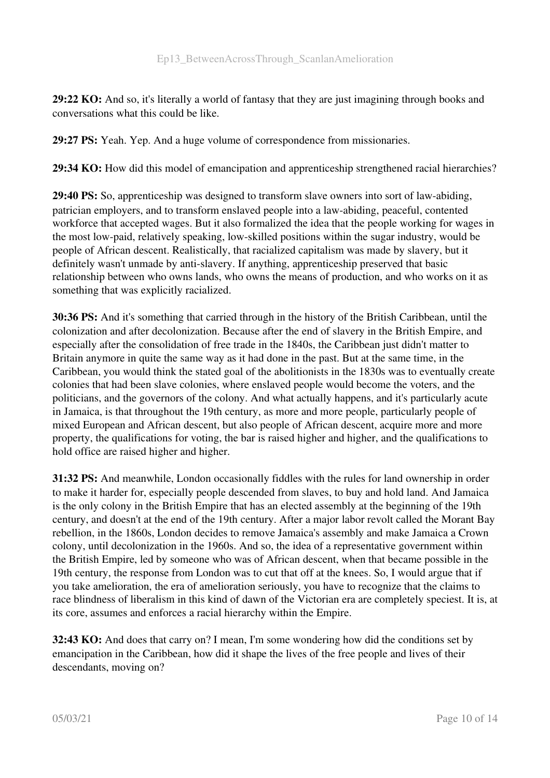29:22 KO: And so, it's literally a world of fantasy that they are just imagining through books and conversations what this could be like.

29:27 PS: Yeah. Yep. And a huge volume of correspondence from missionaries.

29:34 KO: How did this model of emancipation and apprenticeship strengthened racial hierarchies?

29:40 PS: So, apprenticeship was designed to transform slave owners into sort of law-abiding, patrician employers, and to transform enslaved people into a law-abiding, peaceful, contented workforce that accepted wages. But it also formalized the idea that the people working for wages in the most low-paid, relatively speaking, low-skilled positions within the sugar industry, would be people of African descent. Realistically, that racialized capitalism was made by slavery, but it definitely wasn't unmade by anti-slavery. If anything, apprenticeship preserved that basic relationship between who owns lands, who owns the means of production, and who works on it as something that was explicitly racialized.

30:36 PS: And it's something that carried through in the history of the British Caribbean, until the colonization and after decolonization. Because after the end of slavery in the British Empire, and especially after the consolidation of free trade in the 1840s, the Caribbean just didn't matter to Britain anymore in quite the same way as it had done in the past. But at the same time, in the Caribbean, you would think the stated goal of the abolitionists in the 1830s was to eventually create colonies that had been slave colonies, where enslaved people would become the voters, and the politicians, and the governors of the colony. And what actually happens, and it's particularly acute in Jamaica, is that throughout the 19th century, as more and more people, particularly people of mixed European and African descent, but also people of African descent, acquire more and more property, the qualifications for voting, the bar is raised higher and higher, and the qualifications to hold office are raised higher and higher.

31:32 PS: And meanwhile, London occasionally fiddles with the rules for land ownership in order to make it harder for, especially people descended from slaves, to buy and hold land. And Jamaica is the only colony in the British Empire that has an elected assembly at the beginning of the 19th century, and doesn't at the end of the 19th century. After a major labor revolt called the Morant Bay rebellion, in the 1860s, London decides to remove Jamaica's assembly and make Jamaica a Crown colony, until decolonization in the 1960s. And so, the idea of a representative government within the British Empire, led by someone who was of African descent, when that became possible in the 19th century, the response from London was to cut that off at the knees. So, I would argue that if you take amelioration, the era of amelioration seriously, you have to recognize that the claims to race blindness of liberalism in this kind of dawn of the Victorian era are completely speciest. It is, at its core, assumes and enforces a racial hierarchy within the Empire.

32:43 KO: And does that carry on? I mean, I'm some wondering how did the conditions set by emancipation in the Caribbean, how did it shape the lives of the free people and lives of their descendants, moving on?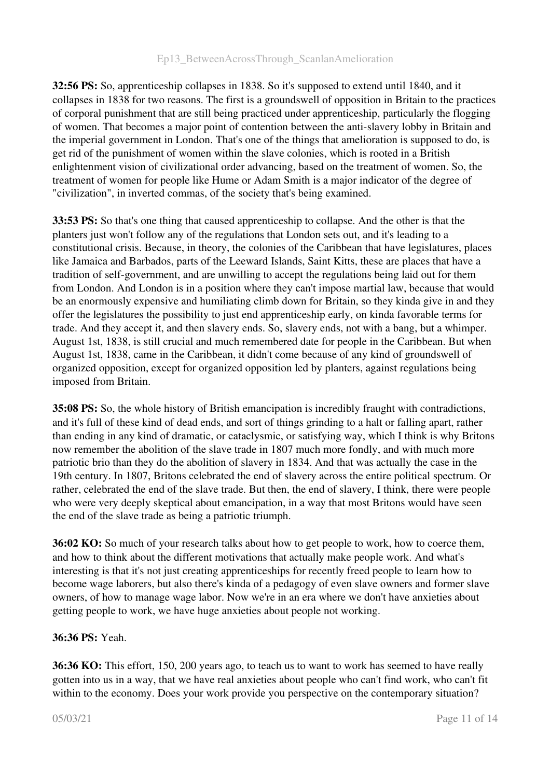#### Ep13 BetweenAcrossThrough ScanlanAmelioration

32:56 PS: So, apprenticeship collapses in 1838. So it's supposed to extend until 1840, and it collapses in 1838 for two reasons. The first is a groundswell of opposition in Britain to the practices of corporal punishment that are still being practiced under apprenticeship, particularly the flogging of women. That becomes a major point of contention between the anti-slavery lobby in Britain and the imperial government in London. That's one of the things that amelioration is supposed to do, is get rid of the punishment of women within the slave colonies, which is rooted in a British enlightenment vision of civilizational order advancing, based on the treatment of women. So, the treatment of women for people like Hume or Adam Smith is a major indicator of the degree of "civilization", in inverted commas, of the society that's being examined.

33:53 PS: So that's one thing that caused apprenticeship to collapse. And the other is that the planters just won't follow any of the regulations that London sets out, and it's leading to a constitutional crisis. Because, in theory, the colonies of the Caribbean that have legislatures, places like Jamaica and Barbados, parts of the Leeward Islands, Saint Kitts, these are places that have a tradition of self-government, and are unwilling to accept the regulations being laid out for them from London. And London is in a position where they can't impose martial law, because that would be an enormously expensive and humiliating climb down for Britain, so they kinda give in and they offer the legislatures the possibility to just end apprenticeship early, on kinda favorable terms for trade. And they accept it, and then slavery ends. So, slavery ends, not with a bang, but a whimper. August 1st, 1838, is still crucial and much remembered date for people in the Caribbean. But when August 1st, 1838, came in the Caribbean, it didn't come because of any kind of groundswell of organized opposition, except for organized opposition led by planters, against regulations being imposed from Britain.

35:08 PS: So, the whole history of British emancipation is incredibly fraught with contradictions, and it's full of these kind of dead ends, and sort of things grinding to a halt or falling apart, rather than ending in any kind of dramatic, or cataclysmic, or satisfying way, which I think is why Britons now remember the abolition of the slave trade in 1807 much more fondly, and with much more patriotic brio than they do the abolition of slavery in 1834. And that was actually the case in the 19th century. In 1807, Britons celebrated the end of slavery across the entire political spectrum. Or rather, celebrated the end of the slave trade. But then, the end of slavery, I think, there were people who were very deeply skeptical about emancipation, in a way that most Britons would have seen the end of the slave trade as being a patriotic triumph.

36:02 KO: So much of your research talks about how to get people to work, how to coerce them, and how to think about the different motivations that actually make people work. And what's interesting is that it's not just creating apprenticeships for recently freed people to learn how to become wage laborers, but also there's kinda of a pedagogy of even slave owners and former slave owners, of how to manage wage labor. Now we're in an era where we don't have anxieties about getting people to work, we have huge anxieties about people not working.

#### 36:36 PS: Yeah.

36:36 KO: This effort, 150, 200 years ago, to teach us to want to work has seemed to have really gotten into us in a way, that we have real anxieties about people who can't find work, who can't fit within to the economy. Does your work provide you perspective on the contemporary situation?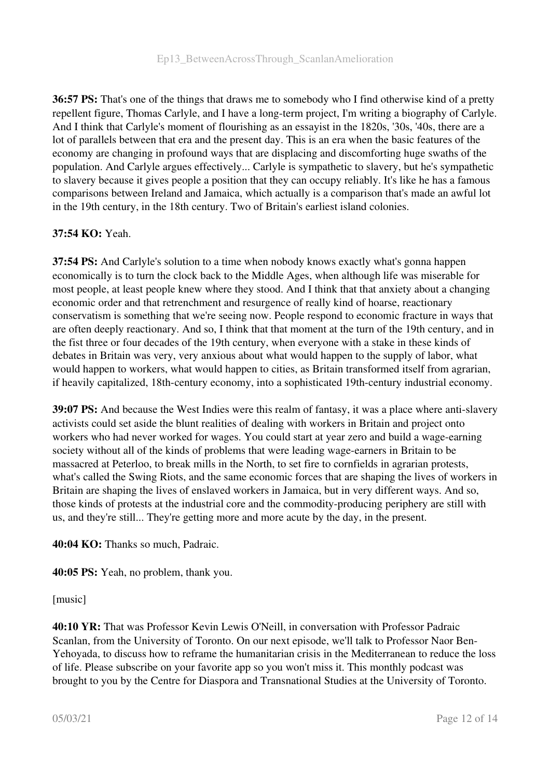36:57 PS: That's one of the things that draws me to somebody who I find otherwise kind of a pretty repellent figure, Thomas Carlyle, and I have a long-term project, I'm writing a biography of Carlyle. And I think that Carlyle's moment of flourishing as an essayist in the 1820s, '30s, '40s, there are a lot of parallels between that era and the present day. This is an era when the basic features of the economy are changing in profound ways that are displacing and discomforting huge swaths of the population. And Carlyle argues effectively... Carlyle is sympathetic to slavery, but he's sympathetic to slavery because it gives people a position that they can occupy reliably. It's like he has a famous comparisons between Ireland and Jamaica, which actually is a comparison that's made an awful lot in the 19th century, in the 18th century. Two of Britain's earliest island colonies.

#### 37:54 KO: Yeah.

37:54 PS: And Carlyle's solution to a time when nobody knows exactly what's gonna happen economically is to turn the clock back to the Middle Ages, when although life was miserable for most people, at least people knew where they stood. And I think that that anxiety about a changing economic order and that retrenchment and resurgence of really kind of hoarse, reactionary conservatism is something that we're seeing now. People respond to economic fracture in ways that are often deeply reactionary. And so, I think that that moment at the turn of the 19th century, and in the fist three or four decades of the 19th century, when everyone with a stake in these kinds of debates in Britain was very, very anxious about what would happen to the supply of labor, what would happen to workers, what would happen to cities, as Britain transformed itself from agrarian, if heavily capitalized, 18th-century economy, into a sophisticated 19th-century industrial economy.

39:07 PS: And because the West Indies were this realm of fantasy, it was a place where antislavery activists could set aside the blunt realities of dealing with workers in Britain and project onto workers who had never worked for wages. You could start at year zero and build a wage-earning society without all of the kinds of problems that were leading wage-earners in Britain to be massacred at Peterloo, to break mills in the North, to set fire to cornfields in agrarian protests, what's called the Swing Riots, and the same economic forces that are shaping the lives of workers in Britain are shaping the lives of enslaved workers in Jamaica, but in very different ways. And so, those kinds of protests at the industrial core and the commodity-producing periphery are still with us, and they're still... They're getting more and more acute by the day, in the present.

40:04 KO: Thanks so much, Padraic.

40:05 PS: Yeah, no problem, thank you.

[music]

40:10 YR: That was Professor Kevin Lewis O'Neill, in conversation with Professor Padraic Scanlan, from the University of Toronto. On our next episode, we'll talk to Professor Naor Ben-Yehoyada, to discuss how to reframe the humanitarian crisis in the Mediterranean to reduce the loss of life. Please subscribe on your favorite app so you won't miss it. This monthly podcast was brought to you by the Centre for Diaspora and Transnational Studies at the University of Toronto.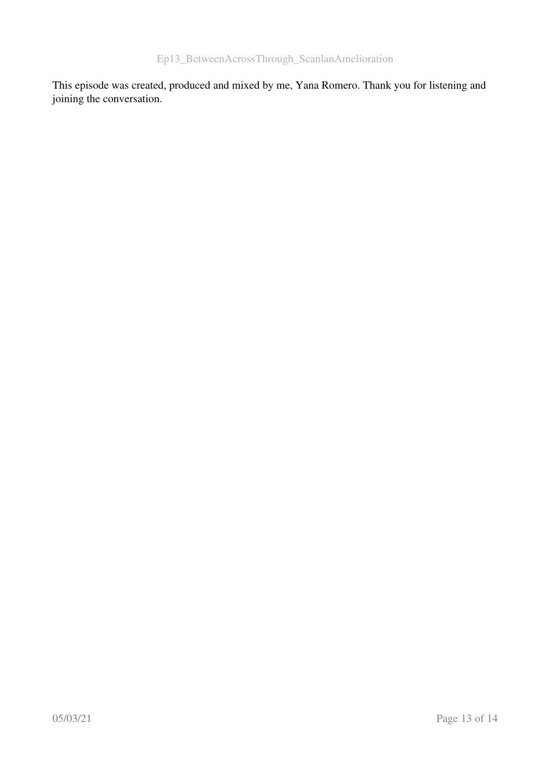This episode was created, produced and mixed by me, Yana Romero. Thank you for listening and joining the conversation.